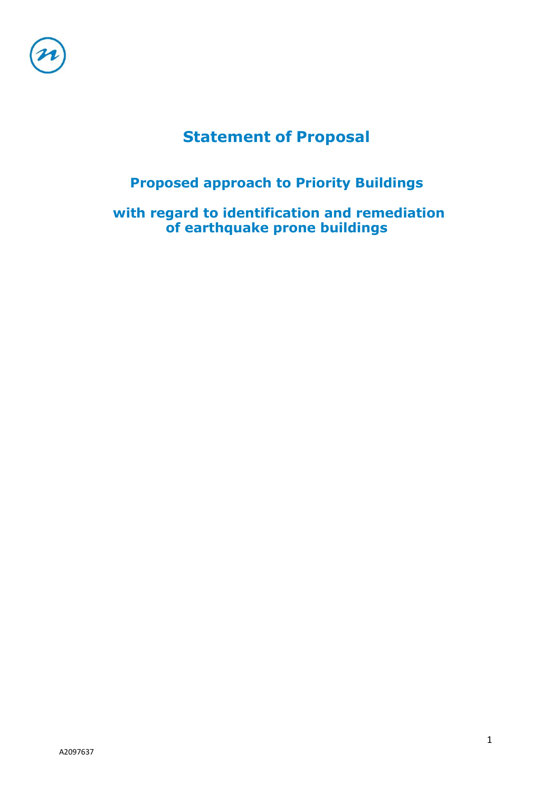

# **Statement of Proposal**

# **Proposed approach to Priority Buildings**

**with regard to identification and remediation of earthquake prone buildings**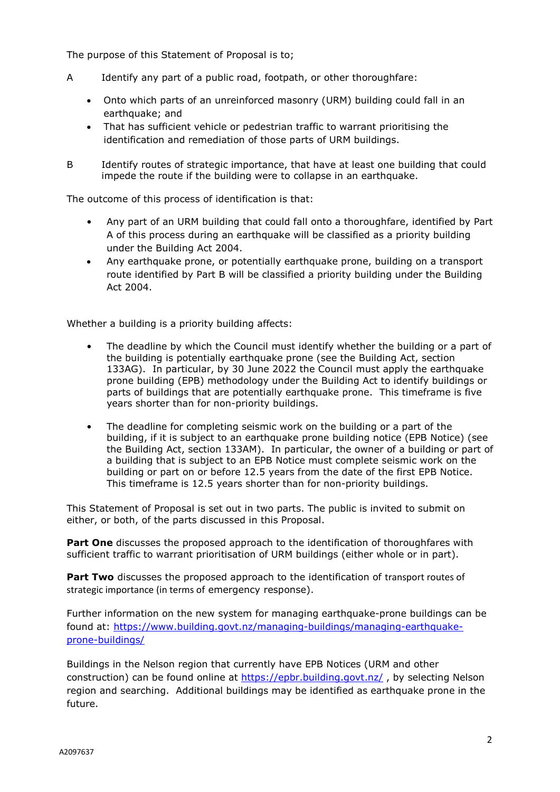The purpose of this Statement of Proposal is to;

- A Identify any part of a public road, footpath, or other thoroughfare:
	- Onto which parts of an unreinforced masonry (URM) building could fall in an earthquake; and
	- That has sufficient vehicle or pedestrian traffic to warrant prioritising the identification and remediation of those parts of URM buildings.
- B Identify routes of strategic importance, that have at least one building that could impede the route if the building were to collapse in an earthquake.

The outcome of this process of identification is that:

- Any part of an URM building that could fall onto a thoroughfare, identified by Part A of this process during an earthquake will be classified as a priority building under the Building Act 2004.
- Any earthquake prone, or potentially earthquake prone, building on a transport route identified by Part B will be classified a priority building under the Building Act 2004.

Whether a building is a priority building affects:

- The deadline by which the Council must identify whether the building or a part of the building is potentially earthquake prone (see the Building Act, section 133AG). In particular, by 30 June 2022 the Council must apply the earthquake prone building (EPB) methodology under the Building Act to identify buildings or parts of buildings that are potentially earthquake prone. This timeframe is five years shorter than for non-priority buildings.
- The deadline for completing seismic work on the building or a part of the building, if it is subject to an earthquake prone building notice (EPB Notice) (see the Building Act, section 133AM). In particular, the owner of a building or part of a building that is subject to an EPB Notice must complete seismic work on the building or part on or before 12.5 years from the date of the first EPB Notice. This timeframe is 12.5 years shorter than for non-priority buildings.

This Statement of Proposal is set out in two parts. The public is invited to submit on either, or both, of the parts discussed in this Proposal.

**Part One** discusses the proposed approach to the identification of thoroughfares with sufficient traffic to warrant prioritisation of URM buildings (either whole or in part).

**Part Two** discusses the proposed approach to the identification of transport routes of strategic importance (in terms of emergency response).

Further information on the new system for managing earthquake-prone buildings can be found at: [https://www.building.govt.nz/managing-buildings/managing-earthquake](https://www.building.govt.nz/managing-buildings/managing-earthquake-prone-buildings/)[prone-buildings/](https://www.building.govt.nz/managing-buildings/managing-earthquake-prone-buildings/)

Buildings in the Nelson region that currently have EPB Notices (URM and other construction) can be found online at<https://epbr.building.govt.nz/>, by selecting Nelson region and searching. Additional buildings may be identified as earthquake prone in the future.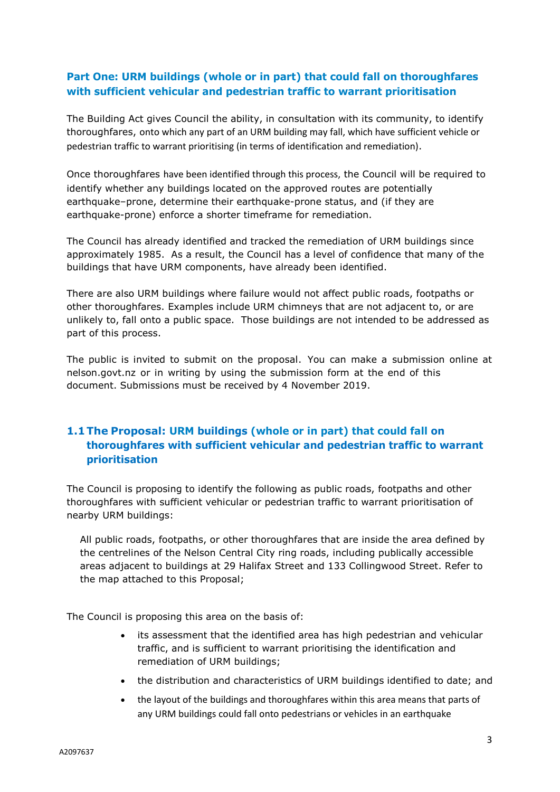## **Part One: URM buildings (whole or in part) that could fall on thoroughfares with sufficient vehicular and pedestrian traffic to warrant prioritisation**

The Building Act gives Council the ability, in consultation with its community, to identify thoroughfares, onto which any part of an URM building may fall, which have sufficient vehicle or pedestrian traffic to warrant prioritising (in terms of identification and remediation).

Once thoroughfares have been identified through this process, the Council will be required to identify whether any buildings located on the approved routes are potentially earthquake–prone, determine their earthquake-prone status, and (if they are earthquake-prone) enforce a shorter timeframe for remediation.

The Council has already identified and tracked the remediation of URM buildings since approximately 1985. As a result, the Council has a level of confidence that many of the buildings that have URM components, have already been identified.

There are also URM buildings where failure would not affect public roads, footpaths or other thoroughfares. Examples include URM chimneys that are not adjacent to, or are unlikely to, fall onto a public space. Those buildings are not intended to be addressed as part of this process.

The public is invited to submit on the proposal. You can make a submission online at nelson.govt.nz or in writing by using the submission form at the end of this document. Submissions must be received by 4 November 2019.

## **1.1 The Proposal: URM buildings (whole or in part) that could fall on thoroughfares with sufficient vehicular and pedestrian traffic to warrant prioritisation**

The Council is proposing to identify the following as public roads, footpaths and other thoroughfares with sufficient vehicular or pedestrian traffic to warrant prioritisation of nearby URM buildings:

All public roads, footpaths, or other thoroughfares that are inside the area defined by the centrelines of the Nelson Central City ring roads, including publically accessible areas adjacent to buildings at 29 Halifax Street and 133 Collingwood Street. Refer to the map attached to this Proposal;

The Council is proposing this area on the basis of:

- its assessment that the identified area has high pedestrian and vehicular traffic, and is sufficient to warrant prioritising the identification and remediation of URM buildings;
- the distribution and characteristics of URM buildings identified to date; and
- the layout of the buildings and thoroughfares within this area means that parts of any URM buildings could fall onto pedestrians or vehicles in an earthquake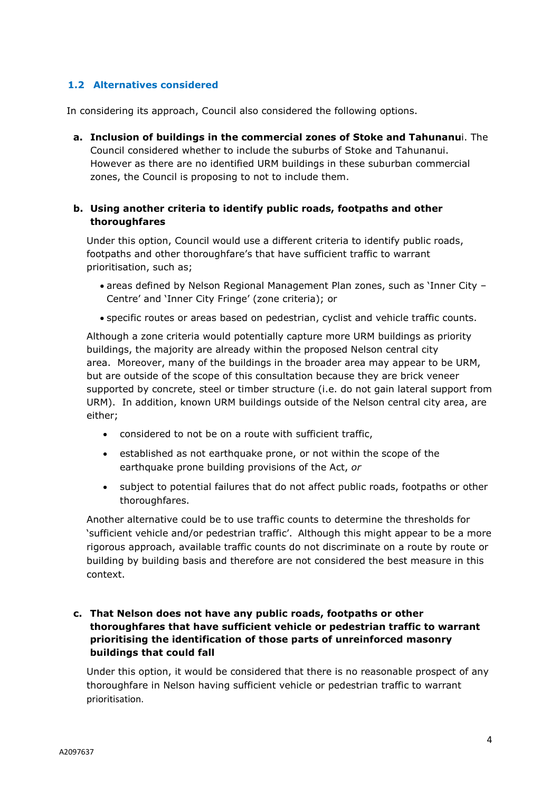## **1.2 Alternatives considered**

In considering its approach, Council also considered the following options.

**a. Inclusion of buildings in the commercial zones of Stoke and Tahunanu**i. The Council considered whether to include the suburbs of Stoke and Tahunanui. However as there are no identified URM buildings in these suburban commercial zones, the Council is proposing to not to include them.

## **b. Using another criteria to identify public roads, footpaths and other thoroughfares**

Under this option, Council would use a different criteria to identify public roads, footpaths and other thoroughfare's that have sufficient traffic to warrant prioritisation, such as;

- areas defined by Nelson Regional Management Plan zones, such as 'Inner City Centre' and 'Inner City Fringe' (zone criteria); or
- specific routes or areas based on pedestrian, cyclist and vehicle traffic counts.

Although a zone criteria would potentially capture more URM buildings as priority buildings, the majority are already within the proposed Nelson central city area. Moreover, many of the buildings in the broader area may appear to be URM, but are outside of the scope of this consultation because they are brick veneer supported by concrete, steel or timber structure (i.e. do not gain lateral support from URM). In addition, known URM buildings outside of the Nelson central city area, are either;

- considered to not be on a route with sufficient traffic,
- established as not earthquake prone, or not within the scope of the earthquake prone building provisions of the Act, *or*
- subject to potential failures that do not affect public roads, footpaths or other thoroughfares.

Another alternative could be to use traffic counts to determine the thresholds for 'sufficient vehicle and/or pedestrian traffic'. Although this might appear to be a more rigorous approach, available traffic counts do not discriminate on a route by route or building by building basis and therefore are not considered the best measure in this context.

## **c. That Nelson does not have any public roads, footpaths or other thoroughfares that have sufficient vehicle or pedestrian traffic to warrant prioritising the identification of those parts of unreinforced masonry buildings that could fall**

Under this option, it would be considered that there is no reasonable prospect of any thoroughfare in Nelson having sufficient vehicle or pedestrian traffic to warrant prioritisation.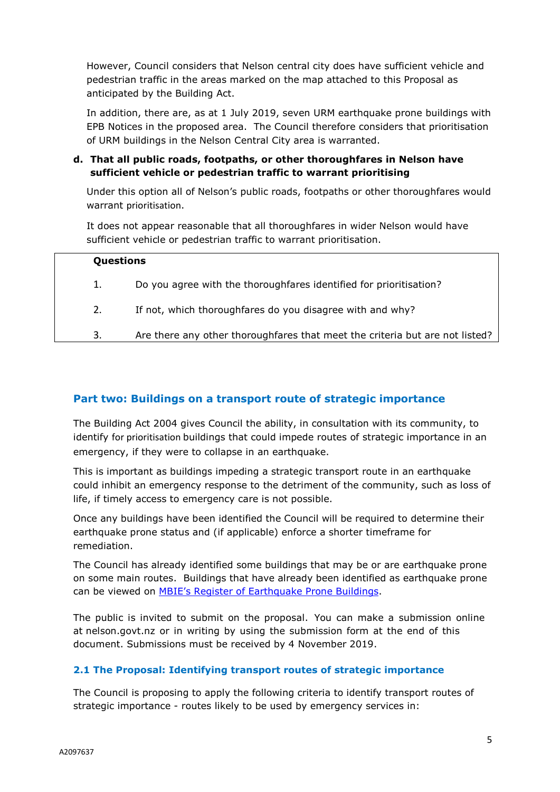However, Council considers that Nelson central city does have sufficient vehicle and pedestrian traffic in the areas marked on the map attached to this Proposal as anticipated by the Building Act.

In addition, there are, as at 1 July 2019, seven URM earthquake prone buildings with EPB Notices in the proposed area. The Council therefore considers that prioritisation of URM buildings in the Nelson Central City area is warranted.

**d. That all public roads, footpaths, or other thoroughfares in Nelson have sufficient vehicle or pedestrian traffic to warrant prioritising**

Under this option all of Nelson's public roads, footpaths or other thoroughfares would warrant prioritisation.

It does not appear reasonable that all thoroughfares in wider Nelson would have sufficient vehicle or pedestrian traffic to warrant prioritisation.

| Questions |                                                                              |
|-----------|------------------------------------------------------------------------------|
| 1.        | Do you agree with the thoroughfares identified for prioritisation?           |
| 2.        | If not, which thoroughfares do you disagree with and why?                    |
| 3.        | Are there any other thoroughfares that meet the criteria but are not listed? |

## **Part two: Buildings on a transport route of strategic importance**

The Building Act 2004 gives Council the ability, in consultation with its community, to identify for prioritisation buildings that could impede routes of strategic importance in an emergency, if they were to collapse in an earthquake.

This is important as buildings impeding a strategic transport route in an earthquake could inhibit an emergency response to the detriment of the community, such as loss of life, if timely access to emergency care is not possible.

Once any buildings have been identified the Council will be required to determine their earthquake prone status and (if applicable) enforce a shorter timeframe for remediation.

The Council has already identified some buildings that may be or are earthquake prone on some main routes. Buildings that have already been identified as earthquake prone can be viewed on [MBIE's Register of Earthquake Prone Buildings.](https://www.building.govt.nz/managing-buildings/managing-earthquake-prone-buildings/epb-register/)

The public is invited to submit on the proposal. You can make a submission online at nelson.govt.nz or in writing by using the submission form at the end of this document. Submissions must be received by 4 November 2019.

### **2.1 The Proposal: Identifying transport routes of strategic importance**

The Council is proposing to apply the following criteria to identify transport routes of strategic importance - routes likely to be used by emergency services in: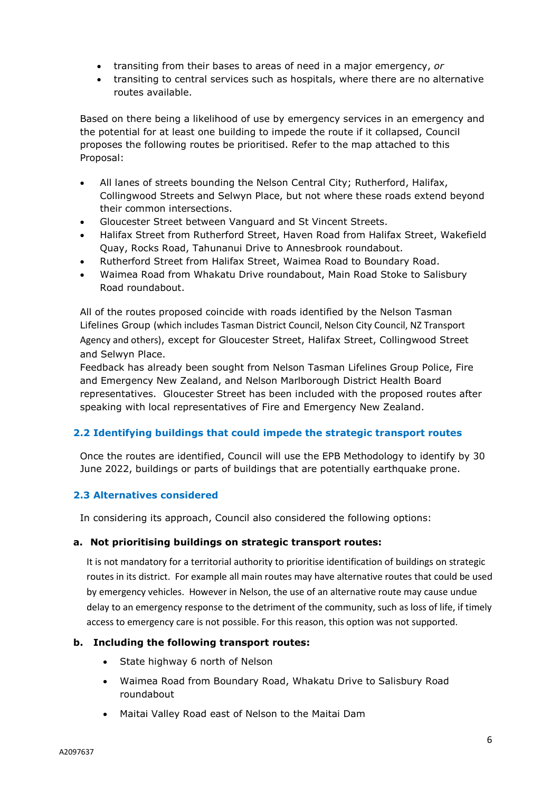- transiting from their bases to areas of need in a major emergency, *or*
- transiting to central services such as hospitals, where there are no alternative routes available.

Based on there being a likelihood of use by emergency services in an emergency and the potential for at least one building to impede the route if it collapsed, Council proposes the following routes be prioritised. Refer to the map attached to this Proposal:

- All lanes of streets bounding the Nelson Central City; Rutherford, Halifax, Collingwood Streets and Selwyn Place, but not where these roads extend beyond their common intersections.
- Gloucester Street between Vanguard and St Vincent Streets.
- Halifax Street from Rutherford Street, Haven Road from Halifax Street, Wakefield Quay, Rocks Road, Tahunanui Drive to Annesbrook roundabout.
- Rutherford Street from Halifax Street, Waimea Road to Boundary Road.
- Waimea Road from Whakatu Drive roundabout, Main Road Stoke to Salisbury Road roundabout.

All of the routes proposed coincide with roads identified by the Nelson Tasman Lifelines Group (which includes Tasman District Council, Nelson City Council, NZ Transport Agency and others), except for Gloucester Street, Halifax Street, Collingwood Street and Selwyn Place.

Feedback has already been sought from Nelson Tasman Lifelines Group Police, Fire and Emergency New Zealand, and Nelson Marlborough District Health Board representatives. Gloucester Street has been included with the proposed routes after speaking with local representatives of Fire and Emergency New Zealand.

## **2.2 Identifying buildings that could impede the strategic transport routes**

Once the routes are identified, Council will use the EPB Methodology to identify by 30 June 2022, buildings or parts of buildings that are potentially earthquake prone.

### **2.3 Alternatives considered**

In considering its approach, Council also considered the following options:

### **a. Not prioritising buildings on strategic transport routes:**

It is not mandatory for a territorial authority to prioritise identification of buildings on strategic routes in its district. For example all main routes may have alternative routes that could be used by emergency vehicles. However in Nelson, the use of an alternative route may cause undue delay to an emergency response to the detriment of the community, such as loss of life, if timely access to emergency care is not possible. For this reason, this option was not supported.

### **b. Including the following transport routes:**

- State highway 6 north of Nelson
- Waimea Road from Boundary Road, Whakatu Drive to Salisbury Road roundabout
- Maitai Valley Road east of Nelson to the Maitai Dam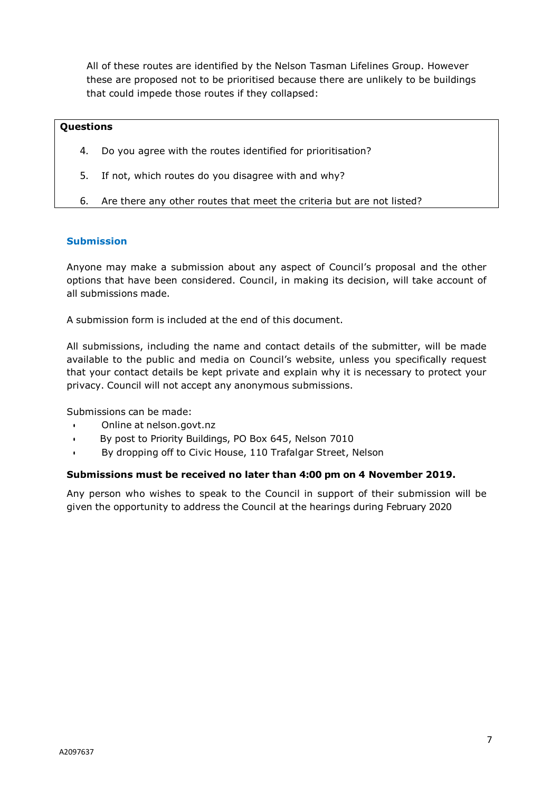All of these routes are identified by the Nelson Tasman Lifelines Group. However these are proposed not to be prioritised because there are unlikely to be buildings that could impede those routes if they collapsed:

#### **Questions**

- 4. Do you agree with the routes identified for prioritisation?
- 5. If not, which routes do you disagree with and why?
- 6. Are there any other routes that meet the criteria but are not listed?

#### **Submission**

Anyone may make a submission about any aspect of Council's proposal and the other options that have been considered. Council, in making its decision, will take account of all submissions made.

A submission form is included at the end of this document.

All submissions, including the name and contact details of the submitter, will be made available to the public and media on Council's website, unless you specifically request that your contact details be kept private and explain why it is necessary to protect your privacy. Council will not accept any anonymous submissions.

Submissions can be made:

- Online at [nelson.govt.nz](http://www.nelson.govt.nz/)
- By post to Priority Buildings, PO Box 645, Nelson 7010
- By dropping off to Civic House, 110 Trafalgar Street, Nelson

#### **Submissions must be received no later than 4:00 pm on 4 November 2019.**

Any person who wishes to speak to the Council in support of their submission will be given the opportunity to address the Council at the hearings during February 2020